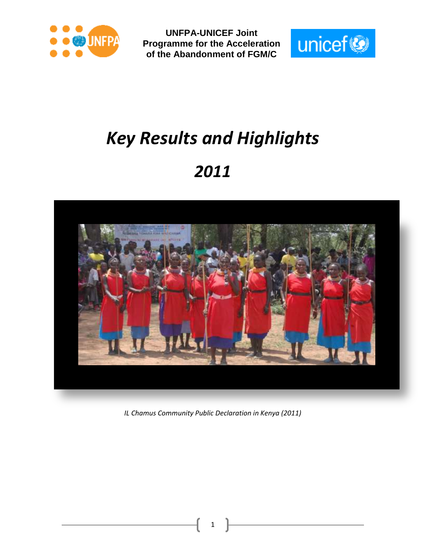



# *Key Results and Highlights*

## *2011*



*IL Chamus Community Public Declaration in Kenya (2011)*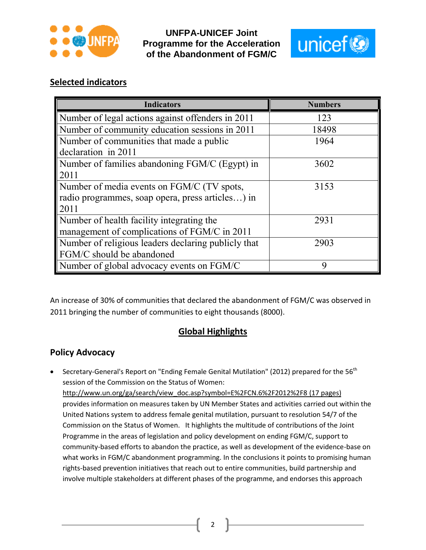



## **Selected indicators**

| <b>Indicators</b>                                           | <b>Numbers</b> |  |  |
|-------------------------------------------------------------|----------------|--|--|
| Number of legal actions against offenders in 2011           | 123            |  |  |
| Number of community education sessions in $\overline{2011}$ | 18498          |  |  |
| Number of communities that made a public                    | 1964           |  |  |
| declaration in 2011                                         |                |  |  |
| Number of families abandoning FGM/C (Egypt) in              | 3602           |  |  |
| 2011                                                        |                |  |  |
| Number of media events on FGM/C (TV spots,                  | 3153           |  |  |
| radio programmes, soap opera, press articles) in            |                |  |  |
| 2011                                                        |                |  |  |
| Number of health facility integrating the                   | 2931           |  |  |
| management of complications of FGM/C in 2011                |                |  |  |
| Number of religious leaders declaring publicly that         | 2903           |  |  |
| FGM/C should be abandoned                                   |                |  |  |
| Number of global advocacy events on FGM/C                   | 9              |  |  |

An increase of 30% of communities that declared the abandonment of FGM/C was observed in 2011 bringing the number of communities to eight thousands (8000).

## **Global Highlights**

## **Policy Advocacy**

**•** Secretary-General's Report on "Ending Female Genital Mutilation" (2012) prepared for the 56<sup>th</sup> session of the Commission on the Status of Women: [http://www.un.org/ga/search/view\\_doc.asp?symbol=E%2FCN.6%2F2012%2F8](http://www.un.org/ga/search/view_doc.asp?symbol=E%2FCN.6%2F2012%2F8) (17 pages) provides information on measures taken by UN Member States and activities carried out within the United Nations system to address female genital mutilation, pursuant to resolution 54/7 of the Commission on the Status of Women. It highlights the multitude of contributions of the Joint Programme in the areas of legislation and policy development on ending FGM/C, support to community-based efforts to abandon the practice, as well as development of the evidence-base on what works in FGM/C abandonment programming. In the conclusions it points to promising human rights-based prevention initiatives that reach out to entire communities, build partnership and involve multiple stakeholders at different phases of the programme, and endorses this approach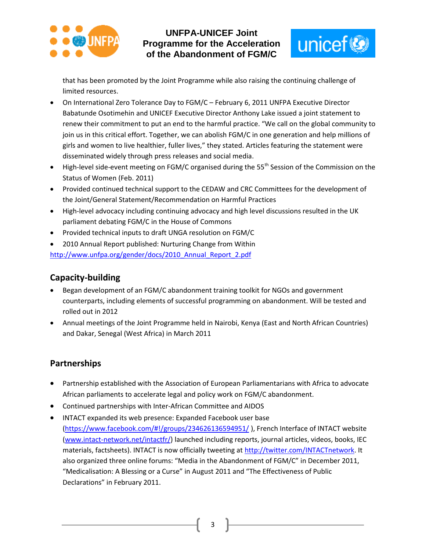



that has been promoted by the Joint Programme while also raising the continuing challenge of limited resources.

- On International Zero Tolerance Day to FGM/C February 6, 2011 UNFPA Executive Director Babatunde Osotimehin and UNICEF Executive Director Anthony Lake issued a joint statement to renew their commitment to put an end to the harmful practice. "We call on the global community to join us in this critical effort. Together, we can abolish FGM/C in one generation and help millions of girls and women to live healthier, fuller lives," they stated. Articles featuring the statement were disseminated widely through press releases and social media.
- High-level side-event meeting on FGM/C organised during the 55<sup>th</sup> Session of the Commission on the Status of Women (Feb. 2011)
- Provided continued technical support to the CEDAW and CRC Committees for the development of the Joint/General Statement/Recommendation on Harmful Practices
- High-level advocacy including continuing advocacy and high level discussions resulted in the UK parliament debating FGM/C in the House of Commons
- Provided technical inputs to draft UNGA resolution on FGM/C
- 2010 Annual Report published: Nurturing Change from Within http://www.unfpa.org/gender/docs/2010 Annual Report 2.pdf

## **Capacity-building**

- Began development of an FGM/C abandonment training toolkit for NGOs and government counterparts, including elements of successful programming on abandonment. Will be tested and rolled out in 2012
- Annual meetings of the Joint Programme held in Nairobi, Kenya (East and North African Countries) and Dakar, Senegal (West Africa) in March 2011

## **Partnerships**

- Partnership established with the Association of European Parliamentarians with Africa to advocate African parliaments to accelerate legal and policy work on FGM/C abandonment.
- Continued partnerships with Inter-African Committee and AIDOS
- INTACT expanded its web presence: Expanded Facebook user base [\(https://www.facebook.com/#!/groups/234626136594951/](https://www.facebook.com/#!/groups/234626136594951/) ), French Interface of INTACT website [\(www.intact-network.net/intactfr/\)](http://www.intact-network.net/intactfr/) launched including reports, journal articles, videos, books, IEC materials, factsheets). INTACT is now officially tweeting a[t http://twitter.com/INTACTnetwork.](http://twitter.com/INTACTnetwork) It also organized three online forums: "Media in the Abandonment of FGM/C" in December 2011, "Medicalisation: A Blessing or a Curse" in August 2011 and "The Effectiveness of Public Declarations" in February 2011.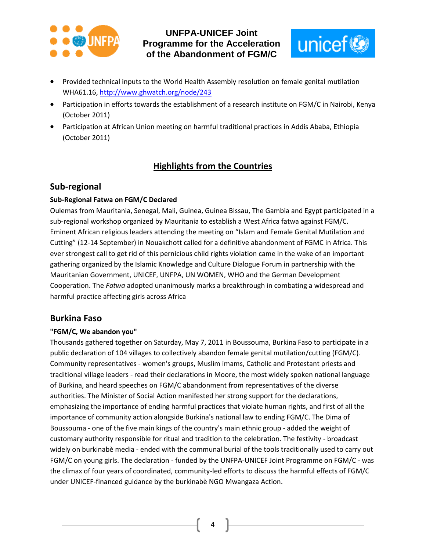



- Provided technical inputs to the World Health Assembly resolution on female genital mutilation WHA61.16,<http://www.ghwatch.org/node/243>
- Participation in efforts towards the establishment of a research institute on FGM/C in Nairobi, Kenya (October 2011)
- Participation at African Union meeting on harmful traditional practices in Addis Ababa, Ethiopia (October 2011)

## **Highlights from the Countries**

## **Sub-regional**

#### **Sub-Regional Fatwa on FGM/C Declared**

Oulemas from Mauritania, Senegal, Mali, Guinea, Guinea Bissau, The Gambia and Egypt participated in a sub-regional workshop organized by Mauritania to establish a West Africa fatwa against FGM/C. Eminent African religious leaders attending the meeting on "Islam and Female Genital Mutilation and Cutting" (12-14 September) in Nouakchott called for a definitive abandonment of FGMC in Africa. This ever strongest call to get rid of this pernicious child rights violation came in the wake of an important gathering organized by the Islamic Knowledge and Culture Dialogue Forum in partnership with the Mauritanian Government, UNICEF, UNFPA, UN WOMEN, WHO and the German Development Cooperation. The *Fatwa* adopted unanimously marks a breakthrough in combating a widespread and harmful practice affecting girls across Africa

#### **Burkina Faso**

#### **"FGM/C, We abandon you"**

Thousands gathered together on Saturday, May 7, 2011 in Boussouma, Burkina Faso to participate in a public declaration of 104 villages to collectively abandon female genital mutilation/cutting (FGM/C). Community representatives - women's groups, Muslim imams, Catholic and Protestant priests and traditional village leaders - read their declarations in Moore, the most widely spoken national language of Burkina, and heard speeches on FGM/C abandonment from representatives of the diverse authorities. The Minister of Social Action manifested her strong support for the declarations, emphasizing the importance of ending harmful practices that violate human rights, and first of all the importance of community action alongside Burkina's national law to ending FGM/C. The Dima of Boussouma - one of the five main kings of the country's main ethnic group - added the weight of customary authority responsible for ritual and tradition to the celebration. The festivity - broadcast widely on burkinabè media - ended with the communal burial of the tools traditionally used to carry out FGM/C on young girls. The declaration - funded by the UNFPA-UNICEF Joint Programme on FGM/C - was the climax of four years of coordinated, community-led efforts to discuss the harmful effects of FGM/C under UNICEF-financed guidance by the burkinabè NGO Mwangaza Action.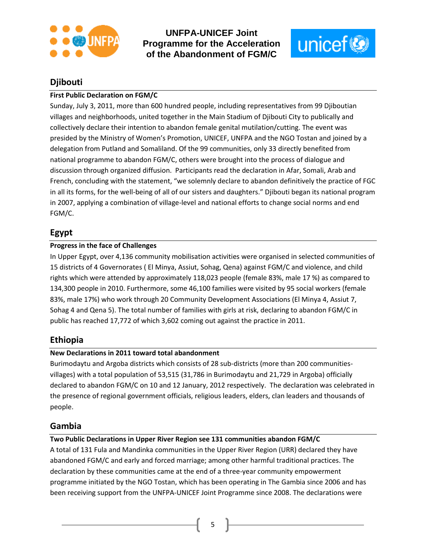



## **Djibouti**

#### **First Public Declaration on FGM/C**

Sunday, July 3, 2011, more than 600 hundred people, including representatives from 99 Djiboutian villages and neighborhoods, united together in the Main Stadium of Djibouti City to publically and collectively declare their intention to abandon female genital mutilation/cutting. The event was presided by the Ministry of Women's Promotion, UNICEF, UNFPA and the NGO Tostan and joined by a delegation from Putland and Somaliland. Of the 99 communities, only 33 directly benefited from national programme to abandon FGM/C, others were brought into the process of dialogue and discussion through organized diffusion. Participants read the declaration in Afar, Somali, Arab and French, concluding with the statement, "we solemnly declare to abandon definitively the practice of FGC in all its forms, for the well-being of all of our sisters and daughters." Djibouti began its national program in 2007, applying a combination of village-level and national efforts to change social norms and end FGM/C.

## **Egypt**

#### **Progress in the face of Challenges**

In Upper Egypt, over 4,136 community mobilisation activities were organised in selected communities of 15 districts of 4 Governorates ( El Minya, Assiut, Sohag, Qena) against FGM/C and violence, and child rights which were attended by approximately 118,023 people (female 83%, male 17 %) as compared to 134,300 people in 2010. Furthermore, some 46,100 families were visited by 95 social workers (female 83%, male 17%) who work through 20 Community Development Associations (El Minya 4, Assiut 7, Sohag 4 and Qena 5). The total number of families with girls at risk, declaring to abandon FGM/C in public has reached 17,772 of which 3,602 coming out against the practice in 2011.

#### **Ethiopia**

#### **New Declarations in 2011 toward total abandonment**

Burimodaytu and Argoba districts which consists of 28 sub-districts (more than 200 communitiesvillages) with a total population of 53,515 (31,786 in Burimodaytu and 21,729 in Argoba) officially declared to abandon FGM/C on 10 and 12 January, 2012 respectively. The declaration was celebrated in the presence of regional government officials, religious leaders, elders, clan leaders and thousands of people.

## **Gambia**

#### **Two Public Declarations in Upper River Region see 131 communities abandon FGM/C**

A total of 131 Fula and Mandinka communities in the Upper River Region (URR) declared they have abandoned FGM/C and early and forced marriage; among other harmful traditional practices. The declaration by these communities came at the end of a three-year community empowerment programme initiated by the NGO Tostan, which has been operating in The Gambia since 2006 and has been receiving support from the UNFPA-UNICEF Joint Programme since 2008. The declarations were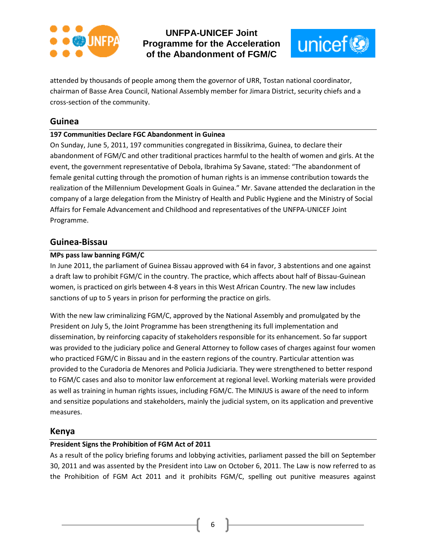



attended by thousands of people among them the governor of URR, Tostan national coordinator, chairman of Basse Area Council, National Assembly member for Jimara District, security chiefs and a cross-section of the community.

#### **Guinea**

#### **197 Communities Declare FGC Abandonment in Guinea**

On Sunday, June 5, 2011, 197 communities congregated in Bissikrima, Guinea, to declare their abandonment of FGM/C and other traditional practices harmful to the health of women and girls. At the event, the government representative of Debola, Ibrahima Sy Savane, stated: "The abandonment of female genital cutting through the promotion of human rights is an immense contribution towards the realization of the Millennium Development Goals in Guinea." Mr. Savane attended the declaration in the company of a large delegation from the Ministry of Health and Public Hygiene and the Ministry of Social Affairs for Female Advancement and Childhood and representatives of the UNFPA-UNICEF Joint Programme.

#### **Guinea-Bissau**

#### **MPs pass law banning FGM/C**

In June 2011, the parliament of Guinea Bissau approved with 64 in favor, 3 abstentions and one against a draft law to prohibit FGM/C in the country. The practice, which affects about half of Bissau-Guinean women, is practiced on girls between 4-8 years in this West African Country. The new law includes sanctions of up to 5 years in prison for performing the practice on girls.

With the new law criminalizing FGM/C, approved by the National Assembly and promulgated by the President on July 5, the Joint Programme has been strengthening its full implementation and dissemination, by reinforcing capacity of stakeholders responsible for its enhancement. So far support was provided to the judiciary police and General Attorney to follow cases of charges against four women who practiced FGM/C in Bissau and in the eastern regions of the country. Particular attention was provided to the Curadoria de Menores and Policia Judiciaria. They were strengthened to better respond to FGM/C cases and also to monitor law enforcement at regional level. Working materials were provided as well as training in human rights issues, including FGM/C. The MINJUS is aware of the need to inform and sensitize populations and stakeholders, mainly the judicial system, on its application and preventive measures.

#### **Kenya**

#### **President Signs the Prohibition of FGM Act of 2011**

As a result of the policy briefing forums and lobbying activities, parliament passed the bill on September 30, 2011 and was assented by the President into Law on October 6, 2011. The Law is now referred to as the Prohibition of FGM Act 2011 and it prohibits FGM/C, spelling out punitive measures against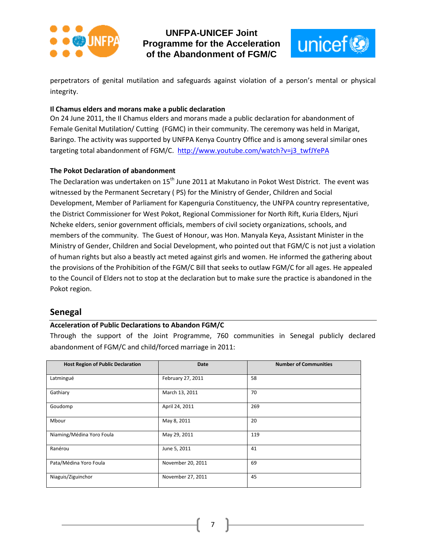



perpetrators of genital mutilation and safeguards against violation of a person's mental or physical integrity.

#### **Il Chamus elders and morans make a public declaration**

On 24 June 2011, the Il Chamus elders and morans made a public declaration for abandonment of Female Genital Mutilation/ Cutting (FGMC) in their community. The ceremony was held in Marigat, Baringo. The activity was supported by UNFPA Kenya Country Office and is among several similar ones targeting total abandonment of FGM/C. [http://www.youtube.com/watch?v=j3\\_twfJYePA](http://www.youtube.com/watch?v=j3_twfJYePA)

#### **The Pokot Declaration of abandonment**

The Declaration was undertaken on 15<sup>th</sup> June 2011 at Makutano in Pokot West District. The event was witnessed by the Permanent Secretary ( PS) for the Ministry of Gender, Children and Social Development, Member of Parliament for Kapenguria Constituency, the UNFPA country representative, the District Commissioner for West Pokot, Regional Commissioner for North Rift, Kuria Elders, Njuri Ncheke elders, senior government officials, members of civil society organizations, schools, and members of the community. The Guest of Honour, was Hon. Manyala Keya, Assistant Minister in the Ministry of Gender, Children and Social Development, who pointed out that FGM/C is not just a violation of human rights but also a beastly act meted against girls and women. He informed the gathering about the provisions of the Prohibition of the FGM/C Bill that seeks to outlaw FGM/C for all ages. He appealed to the Council of Elders not to stop at the declaration but to make sure the practice is abandoned in the Pokot region.

#### **Senegal**

#### **Acceleration of Public Declarations to Abandon FGM/C**

Through the support of the Joint Programme, 760 communities in Senegal publicly declared abandonment of FGM/C and child/forced marriage in 2011:

| <b>Host Region of Public Declaration</b> | <b>Date</b>       | <b>Number of Communities</b> |  |
|------------------------------------------|-------------------|------------------------------|--|
|                                          |                   |                              |  |
| Latmingué                                | February 27, 2011 | 58                           |  |
|                                          |                   |                              |  |
| Gathiary                                 | March 13, 2011    | 70                           |  |
|                                          |                   |                              |  |
| Goudomp                                  | April 24, 2011    | 269                          |  |
| Mbour                                    | May 8, 2011       | 20                           |  |
|                                          |                   |                              |  |
| Niaming/Médina Yoro Foula                | May 29, 2011      | 119                          |  |
|                                          |                   |                              |  |
| Ranérou                                  | June 5, 2011      | 41                           |  |
|                                          |                   |                              |  |
| Pata/Médina Yoro Foula                   | November 20, 2011 | 69                           |  |
|                                          |                   |                              |  |
| Niaguis/Ziguinchor                       | November 27, 2011 | 45                           |  |
|                                          |                   |                              |  |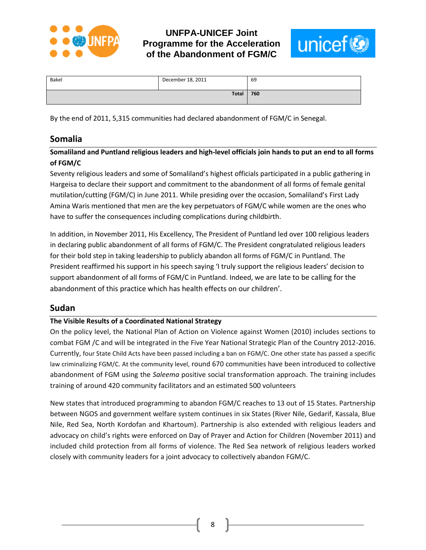



| Bakel        | December 18, 2011 | 69  |
|--------------|-------------------|-----|
| <b>Total</b> |                   | 760 |

By the end of 2011, 5,315 communities had declared abandonment of FGM/C in Senegal.

#### **Somalia**

**Somaliland and Puntland religious leaders and high-level officials join hands to put an end to all forms of FGM/C**

Seventy religious leaders and some of Somaliland's highest officials participated in a public gathering in Hargeisa to declare their support and commitment to the abandonment of all forms of female genital mutilation/cutting (FGM/C) in June 2011. While presiding over the occasion, Somaliland's First Lady Amina Waris mentioned that men are the key perpetuators of FGM/C while women are the ones who have to suffer the consequences including complications during childbirth.

In addition, in November 2011, His Excellency, The President of Puntland led over 100 religious leaders in declaring public abandonment of all forms of FGM/C. The President congratulated religious leaders for their bold step in taking leadership to publicly abandon all forms of FGM/C in Puntland. The President reaffirmed his support in his speech saying 'I truly support the religious leaders' decision to support abandonment of all forms of FGM/C in Puntland. Indeed, we are late to be calling for the abandonment of this practice which has health effects on our children'.

#### **Sudan**

#### **The Visible Results of a Coordinated National Strategy**

On the policy level, the National Plan of Action on Violence against Women (2010) includes sections to combat FGM /C and will be integrated in the Five Year National Strategic Plan of the Country 2012-2016. Currently, four State Child Acts have been passed including a ban on FGM/C. One other state has passed a specific law criminalizing FGM/C. At the community level, round 670 communities have been introduced to collective abandonment of FGM using the *Saleema* positive social transformation approach. The training includes training of around 420 community facilitators and an estimated 500 volunteers

New states that introduced programming to abandon FGM/C reaches to 13 out of 15 States. Partnership between NGOS and government welfare system continues in six States (River Nile, Gedarif, Kassala, Blue Nile, Red Sea, North Kordofan and Khartoum). Partnership is also extended with religious leaders and advocacy on child's rights were enforced on Day of Prayer and Action for Children (November 2011) and included child protection from all forms of violence. The Red Sea network of religious leaders worked closely with community leaders for a joint advocacy to collectively abandon FGM/C.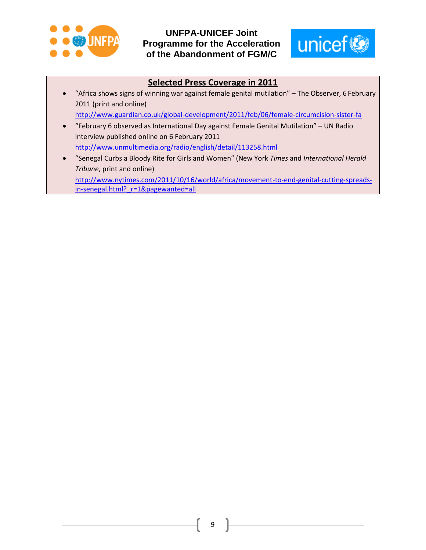



## **Selected Press Coverage in 2011**

 "Africa shows signs of winning war against female genital mutilation" – The Observer, 6 February 2011 (print and online)

<http://www.guardian.co.uk/global-development/2011/feb/06/female-circumcision-sister-fa>

 "February 6 observed as International Day against Female Genital Mutilation" – UN Radio interview published online on 6 February 2011

<http://www.unmultimedia.org/radio/english/detail/113258.html>

 "Senegal Curbs a Bloody Rite for Girls and Women" (New York *Times* and *International Herald Tribune*, print and online)

[http://www.nytimes.com/2011/10/16/world/africa/movement-to-end-genital-cutting-spreads](http://www.nytimes.com/2011/10/16/world/africa/movement-to-end-genital-cutting-spreads-in-senegal.html?_r=1&pagewanted=all)in-senegal.html? r=1&pagewanted=all